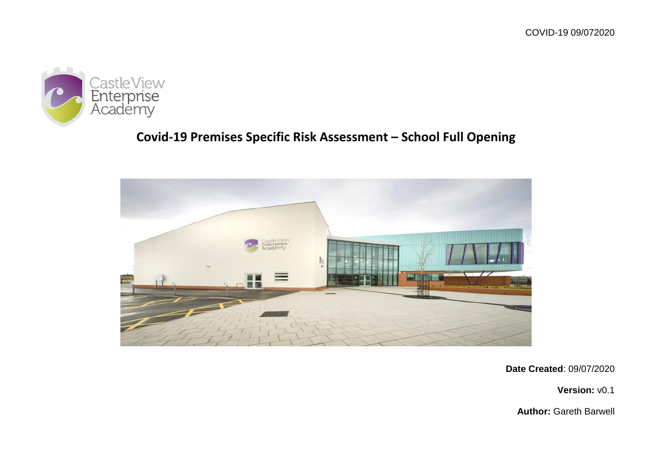

# **Covid-19 Premises Specific Risk Assessment – School Full Opening**



**Date Created**: 09/07/2020

**Version:** v0.1

**Author:** Gareth Barwell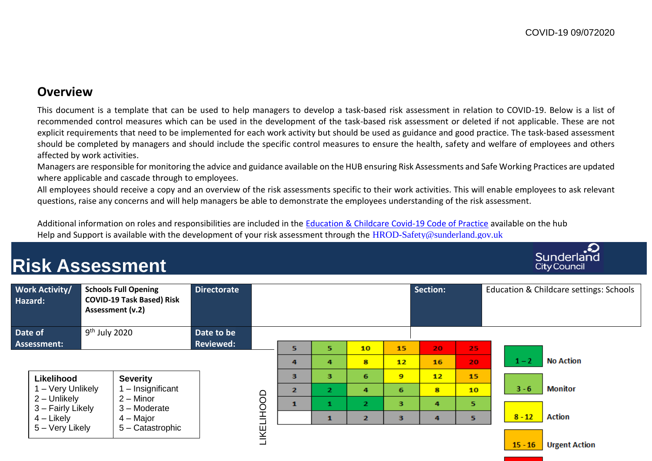## **Overview**

This document is a template that can be used to help managers to develop a task-based risk assessment in relation to COVID-19. Below is a list of recommended control measures which can be used in the development of the task-based risk assessment or deleted if not applicable. These are not explicit requirements that need to be implemented for each work activity but should be used as guidance and good practice. The task-based assessment should be completed by managers and should include the specific control measures to ensure the health, safety and welfare of employees and others affected by work activities.

Managers are responsible for monitoring the advice and guidance available on the HUB ensuring Risk Assessments and Safe Working Practices are updated where applicable and cascade through to employees.

All employees should receive a copy and an overview of the risk assessments specific to their work activities. This will enable employees to ask relevant questions, raise any concerns and will help managers be able to demonstrate the employees understanding of the risk assessment.

Additional information on roles and responsibilities are included in the [Education & Childcare Covid-19](https://schools-hub.org.uk/pluginfile.php/30740/mod_resource/content/2/Education_Childcare%20COVID-19%20COP.docx) Code of Practice available on the hub Help and Support is available with the development of your risk assessment through the [HROD-Safety@sunderland.gov.uk](mailto:HROD-Safety@sunderland.gov.uk)

#### Sunderland **Risk Assessment City Council Schools Full Opening Directorate Section:** Education & Childcare settings: Schools **Work Activity/ COVID-19 Task Based) Risk Hazard: Assessment (v.2)** 9 th July 2020 **Date to be Date of Reviewed: Assessment:** 5 5 10 15 20 25  $1 - 2$ **No Action**  $\mathbf{R}$  $12<sub>2</sub>$ 16  $\overline{a}$  $\overline{a}$ 20.  $\overline{\mathbf{3}}$ R. 6  $\bullet$  $12$ 15 **Likelihood Severity** 1 – Very Unlikely 1 – Insignificant  $3 - 6$ **Monitor**  $\overline{2}$ ö,  $\overline{a}$ 6  $\mathbf{R}$  $10<sub>10</sub>$ LIKELIHOOD LIKELIHOOD2 – Unlikely 2 – Minor  $\mathbf{1}$  $\overline{2}$  $\overline{\mathbf{3}}$  $\mathbf{1}$ 4 5 3 – Fairly Likely 3 – Moderate  $8 - 12$ **Action** 4 – Likely 4 – Major  $\mathbf{1}$  $\overline{2}$  $\overline{\mathbf{3}}$  $\overline{a}$  $\overline{\mathbf{S}}$ 5 – Very Likely 5 – Catastrophic  $15 - 16$ **Urgent Action**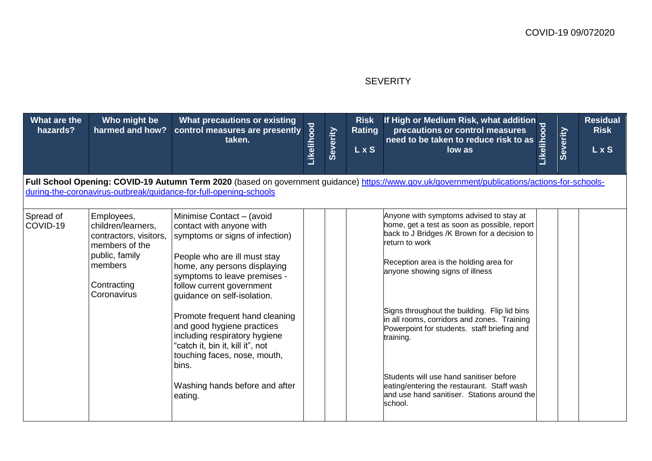#### **SEVERITY**

| What are the<br>hazards?                                                                                                                                                                                           | Who might be<br>harmed and how?                                                                                                         | What precautions or existing<br>control measures are presently<br>taken.                                                                                                                                                                                                                                                                                                                                                           | Likelihood | Severity | <b>Risk</b><br><b>Rating</b><br>L x S | If High or Medium Risk, what addition<br>precautions or control measures<br>need to be taken to reduce risk to as<br>low as                                                                                                                                                                                                                                                                                                                  | Likelihood | Severity | <b>Residual</b><br><b>Risk</b><br>L x S |
|--------------------------------------------------------------------------------------------------------------------------------------------------------------------------------------------------------------------|-----------------------------------------------------------------------------------------------------------------------------------------|------------------------------------------------------------------------------------------------------------------------------------------------------------------------------------------------------------------------------------------------------------------------------------------------------------------------------------------------------------------------------------------------------------------------------------|------------|----------|---------------------------------------|----------------------------------------------------------------------------------------------------------------------------------------------------------------------------------------------------------------------------------------------------------------------------------------------------------------------------------------------------------------------------------------------------------------------------------------------|------------|----------|-----------------------------------------|
| Full School Opening: COVID-19 Autumn Term 2020 (based on government guidance) https://www.gov.uk/government/publications/actions-for-schools-<br>during-the-coronavirus-outbreak/guidance-for-full-opening-schools |                                                                                                                                         |                                                                                                                                                                                                                                                                                                                                                                                                                                    |            |          |                                       |                                                                                                                                                                                                                                                                                                                                                                                                                                              |            |          |                                         |
| Spread of<br>COVID-19                                                                                                                                                                                              | Employees,<br>children/learners,<br>contractors, visitors,<br>members of the<br>public, family<br>members<br>Contracting<br>Coronavirus | Minimise Contact - (avoid<br>contact with anyone with<br>symptoms or signs of infection)<br>People who are ill must stay<br>home, any persons displaying<br>symptoms to leave premises -<br>follow current government<br>guidance on self-isolation.<br>Promote frequent hand cleaning<br>and good hygiene practices<br>including respiratory hygiene<br>'catch it, bin it, kill it", not<br>touching faces, nose, mouth,<br>bins. |            |          |                                       | Anyone with symptoms advised to stay at<br>home, get a test as soon as possible, report<br>back to J Bridges /K Brown for a decision to<br>return to work<br>Reception area is the holding area for<br>anyone showing signs of illness<br>Signs throughout the building. Flip lid bins<br>in all rooms, corridors and zones. Training<br>Powerpoint for students. staff briefing and<br>training.<br>Students will use hand sanitiser before |            |          |                                         |
|                                                                                                                                                                                                                    |                                                                                                                                         | Washing hands before and after<br>eating.                                                                                                                                                                                                                                                                                                                                                                                          |            |          |                                       | eating/entering the restaurant. Staff wash<br>and use hand sanitiser. Stations around the<br>school.                                                                                                                                                                                                                                                                                                                                         |            |          |                                         |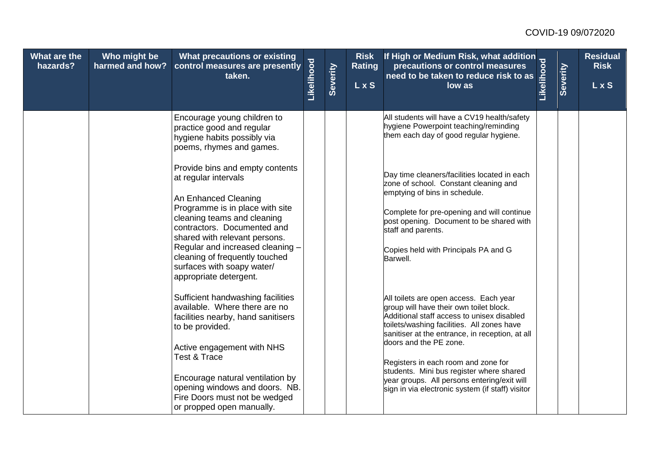| What are the<br>hazards? | Who might be<br>harmed and how? | What precautions or existing<br>control measures are presently<br>taken.                                                                                                                                                                                                                                                                        | Likelihood | Severity | <b>Risk</b><br><b>Rating</b><br>$\overline{L}$ x S | If High or Medium Risk, what addition<br>precautions or control measures<br>need to be taken to reduce risk to as<br>low as<br>low as                                                                                                                                                                                                                                                                                                            | Severity | <b>Residual</b><br><b>Risk</b><br><b>LxS</b> |
|--------------------------|---------------------------------|-------------------------------------------------------------------------------------------------------------------------------------------------------------------------------------------------------------------------------------------------------------------------------------------------------------------------------------------------|------------|----------|----------------------------------------------------|--------------------------------------------------------------------------------------------------------------------------------------------------------------------------------------------------------------------------------------------------------------------------------------------------------------------------------------------------------------------------------------------------------------------------------------------------|----------|----------------------------------------------|
|                          |                                 | Encourage young children to<br>practice good and regular<br>hygiene habits possibly via<br>poems, rhymes and games.                                                                                                                                                                                                                             |            |          |                                                    | All students will have a CV19 health/safety<br>hygiene Powerpoint teaching/reminding<br>them each day of good regular hygiene.                                                                                                                                                                                                                                                                                                                   |          |                                              |
|                          |                                 | Provide bins and empty contents<br>at regular intervals<br>An Enhanced Cleaning<br>Programme is in place with site<br>cleaning teams and cleaning<br>contractors. Documented and<br>shared with relevant persons.<br>Regular and increased cleaning -<br>cleaning of frequently touched<br>surfaces with soapy water/<br>appropriate detergent. |            |          |                                                    | Day time cleaners/facilities located in each<br>zone of school. Constant cleaning and<br>emptying of bins in schedule.<br>Complete for pre-opening and will continue<br>post opening. Document to be shared with<br>staff and parents.<br>Copies held with Principals PA and G<br>Barwell.                                                                                                                                                       |          |                                              |
|                          |                                 | Sufficient handwashing facilities<br>available. Where there are no<br>facilities nearby, hand sanitisers<br>to be provided.<br>Active engagement with NHS<br>Test & Trace<br>Encourage natural ventilation by<br>opening windows and doors. NB.<br>Fire Doors must not be wedged<br>or propped open manually.                                   |            |          |                                                    | All toilets are open access. Each year<br>group will have their own toilet block.<br>Additional staff access to unisex disabled<br>toilets/washing facilities. All zones have<br>sanitiser at the entrance, in reception, at all<br>doors and the PE zone.<br>Registers in each room and zone for<br>students. Mini bus register where shared<br>year groups. All persons entering/exit will<br>sign in via electronic system (if staff) visitor |          |                                              |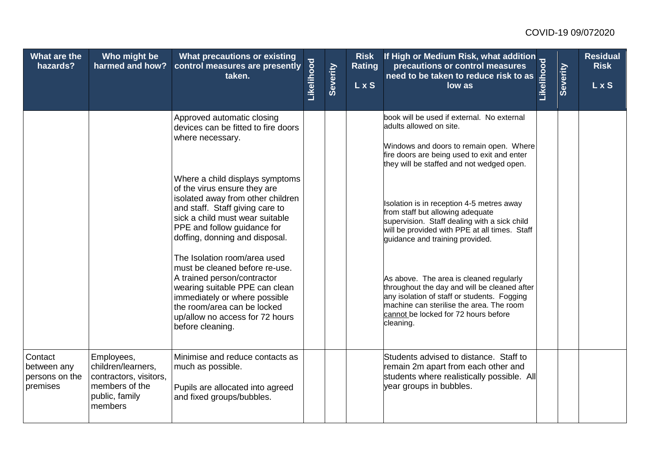| What are the<br>hazards?                             | Who might be<br>harmed and how?                                                                           | What precautions or existing<br>control measures are presently<br>taken.                                                                                                                                                                               | Likelihood | Severity | <b>Risk</b><br><b>Rating</b><br><b>LxS</b> | Thigh or Medium Risk, what addition<br>precautions or control measures<br>taken to reduce risk to as                                                                                                                                    |  | <b>Residual</b><br><b>Risk</b><br><b>LxS</b> |
|------------------------------------------------------|-----------------------------------------------------------------------------------------------------------|--------------------------------------------------------------------------------------------------------------------------------------------------------------------------------------------------------------------------------------------------------|------------|----------|--------------------------------------------|-----------------------------------------------------------------------------------------------------------------------------------------------------------------------------------------------------------------------------------------|--|----------------------------------------------|
|                                                      |                                                                                                           | Approved automatic closing<br>devices can be fitted to fire doors<br>where necessary.                                                                                                                                                                  |            |          |                                            | book will be used if external. No external<br>adults allowed on site.<br>Windows and doors to remain open. Where<br>fire doors are being used to exit and enter<br>they will be staffed and not wedged open.                            |  |                                              |
|                                                      |                                                                                                           | Where a child displays symptoms<br>of the virus ensure they are<br>isolated away from other children<br>and staff. Staff giving care to<br>sick a child must wear suitable<br>PPE and follow guidance for<br>doffing, donning and disposal.            |            |          |                                            | Isolation is in reception 4-5 metres away<br>from staff but allowing adequate<br>supervision. Staff dealing with a sick child<br>will be provided with PPE at all times. Staff<br>guidance and training provided.                       |  |                                              |
|                                                      |                                                                                                           | The Isolation room/area used<br>must be cleaned before re-use.<br>A trained person/contractor<br>wearing suitable PPE can clean<br>immediately or where possible<br>the room/area can be locked<br>up/allow no access for 72 hours<br>before cleaning. |            |          |                                            | As above. The area is cleaned regularly<br>throughout the day and will be cleaned after<br>any isolation of staff or students. Fogging<br>machine can sterilise the area. The room<br>cannot be locked for 72 hours before<br>cleaning. |  |                                              |
| Contact<br>between any<br>persons on the<br>premises | Employees,<br>children/learners,<br>contractors, visitors,<br>members of the<br>public, family<br>members | Minimise and reduce contacts as<br>much as possible.<br>Pupils are allocated into agreed<br>and fixed groups/bubbles.                                                                                                                                  |            |          |                                            | Students advised to distance. Staff to<br>remain 2m apart from each other and<br>students where realistically possible. All<br>year groups in bubbles.                                                                                  |  |                                              |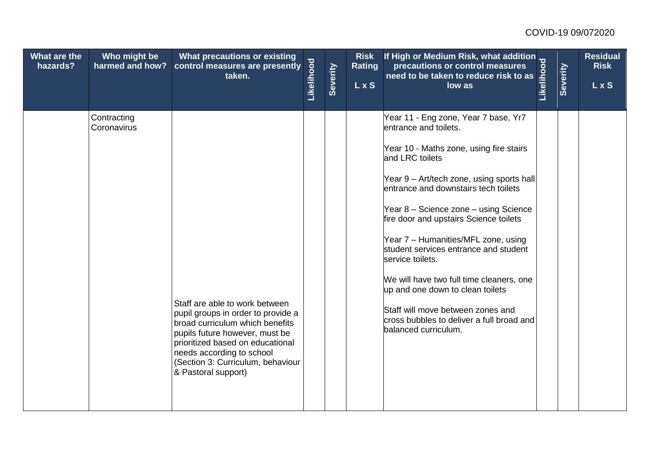| What are the<br>hazards? | Who might be<br>harmed and how? | What precautions or existing<br>control measures are presently<br>taken.                                                                                                                                                                                               | Likelihood | Severity | <b>Risk</b><br><b>Rating</b><br>$\overline{L}$ x S | If High or Medium Risk, what addition<br>precautions or control measures<br>need to be taken to reduce risk to as<br>low as<br>low as                                                                                                                                                                                                                                                                                                                                                                                                                                                             | Severity | <b>Residual</b><br><b>Risk</b><br>L x S |
|--------------------------|---------------------------------|------------------------------------------------------------------------------------------------------------------------------------------------------------------------------------------------------------------------------------------------------------------------|------------|----------|----------------------------------------------------|---------------------------------------------------------------------------------------------------------------------------------------------------------------------------------------------------------------------------------------------------------------------------------------------------------------------------------------------------------------------------------------------------------------------------------------------------------------------------------------------------------------------------------------------------------------------------------------------------|----------|-----------------------------------------|
|                          | Contracting<br>Coronavirus      | Staff are able to work between<br>pupil groups in order to provide a<br>broad curriculum which benefits<br>pupils future however, must be<br>prioritized based on educational<br>needs according to school<br>(Section 3: Curriculum, behaviour<br>& Pastoral support) |            |          |                                                    | Year 11 - Eng zone, Year 7 base, Yr7<br>entrance and toilets.<br>Year 10 - Maths zone, using fire stairs<br>and LRC toilets<br>Year 9 - Art/tech zone, using sports hall<br>entrance and downstairs tech toilets<br>Year 8 - Science zone - using Science<br>fire door and upstairs Science toilets<br>Year 7 - Humanities/MFL zone, using<br>student services entrance and student<br>service toilets.<br>We will have two full time cleaners, one<br>up and one down to clean toilets<br>Staff will move between zones and<br>cross bubbles to deliver a full broad and<br>balanced curriculum. |          |                                         |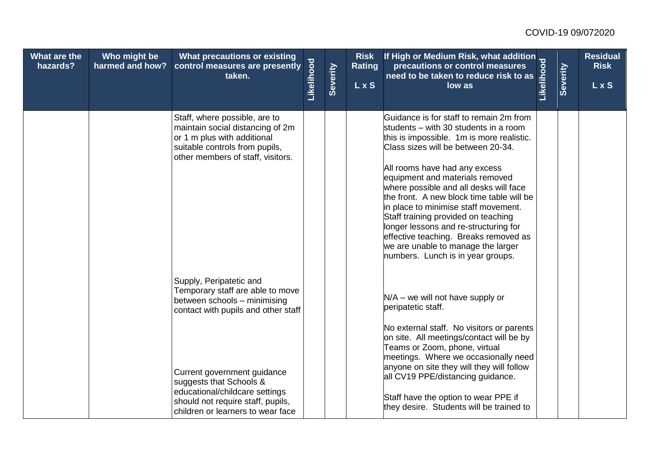| What are the<br>hazards? | Who might be<br>harmed and how? | What precautions or existing<br>control measures are presently<br>taken.                                                                                                                                                                                                                                 | Likelihood | Severity | <b>Risk</b><br><b>Rating</b><br>L x S | Thigh or Medium Risk, what addition<br>precautions or control measures<br>taken to reduce risk to as                                                                                                                                                                                                                                                                                                                                                                                                                                                                       |  | <b>Residual</b><br><b>Risk</b><br>L x S |
|--------------------------|---------------------------------|----------------------------------------------------------------------------------------------------------------------------------------------------------------------------------------------------------------------------------------------------------------------------------------------------------|------------|----------|---------------------------------------|----------------------------------------------------------------------------------------------------------------------------------------------------------------------------------------------------------------------------------------------------------------------------------------------------------------------------------------------------------------------------------------------------------------------------------------------------------------------------------------------------------------------------------------------------------------------------|--|-----------------------------------------|
|                          |                                 | Staff, where possible, are to<br>maintain social distancing of 2m<br>or 1 m plus with additional<br>suitable controls from pupils,<br>other members of staff, visitors.                                                                                                                                  |            |          |                                       | Guidance is for staff to remain 2m from<br>students – with 30 students in a room<br>this is impossible. 1m is more realistic.<br>Class sizes will be between 20-34.<br>All rooms have had any excess<br>equipment and materials removed<br>where possible and all desks will face<br>the front. A new block time table will be<br>in place to minimise staff movement.<br>Staff training provided on teaching<br>longer lessons and re-structuring for<br>effective teaching. Breaks removed as<br>we are unable to manage the larger<br>numbers. Lunch is in year groups. |  |                                         |
|                          |                                 | Supply, Peripatetic and<br>Temporary staff are able to move<br>between schools - minimising<br>contact with pupils and other staff<br>Current government guidance<br>suggests that Schools &<br>educational/childcare settings<br>should not require staff, pupils,<br>children or learners to wear face |            |          |                                       | $N/A$ – we will not have supply or<br>peripatetic staff.<br>No external staff. No visitors or parents<br>on site. All meetings/contact will be by<br>Teams or Zoom, phone, virtual<br>meetings. Where we occasionally need<br>anyone on site they will they will follow<br>all CV19 PPE/distancing guidance.<br>Staff have the option to wear PPE if<br>they desire. Students will be trained to                                                                                                                                                                           |  |                                         |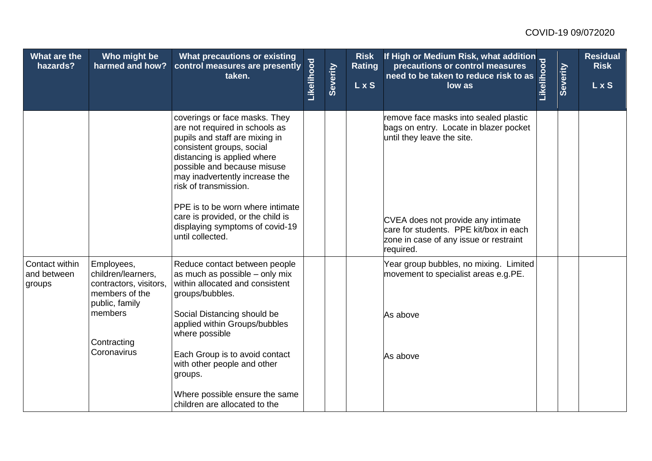| What are the<br>hazards?                | Who might be<br>harmed and how?                                                                | What precautions or existing<br>control measures are presently<br>taken.                                                                                                                                                                                                                                                                                            | Likelihood | Severity | <b>Risk</b><br><b>Rating</b><br>$\overline{L}$ x S | If High or Medium Risk, what addition<br>precautions or control measures<br>need to be taken to reduce risk to as<br>low as<br>low as               | Severity | <b>Residual</b><br><b>Risk</b><br>L x S |
|-----------------------------------------|------------------------------------------------------------------------------------------------|---------------------------------------------------------------------------------------------------------------------------------------------------------------------------------------------------------------------------------------------------------------------------------------------------------------------------------------------------------------------|------------|----------|----------------------------------------------------|-----------------------------------------------------------------------------------------------------------------------------------------------------|----------|-----------------------------------------|
|                                         |                                                                                                | coverings or face masks. They<br>are not required in schools as<br>pupils and staff are mixing in<br>consistent groups, social<br>distancing is applied where<br>possible and because misuse<br>may inadvertently increase the<br>risk of transmission.<br>PPE is to be worn where intimate<br>care is provided, or the child is<br>displaying symptoms of covid-19 |            |          |                                                    | remove face masks into sealed plastic<br>bags on entry. Locate in blazer pocket<br>until they leave the site.<br>CVEA does not provide any intimate |          |                                         |
|                                         |                                                                                                | until collected.                                                                                                                                                                                                                                                                                                                                                    |            |          |                                                    | care for students. PPE kit/box in each<br>zone in case of any issue or restraint<br>required.                                                       |          |                                         |
| Contact within<br>and between<br>groups | Employees,<br>children/learners,<br>contractors, visitors,<br>members of the<br>public, family | Reduce contact between people<br>as much as possible - only mix<br>within allocated and consistent<br>groups/bubbles.                                                                                                                                                                                                                                               |            |          |                                                    | Year group bubbles, no mixing. Limited<br>movement to specialist areas e.g.PE.                                                                      |          |                                         |
|                                         | members                                                                                        | Social Distancing should be<br>applied within Groups/bubbles<br>where possible                                                                                                                                                                                                                                                                                      |            |          |                                                    | As above                                                                                                                                            |          |                                         |
|                                         | Contracting<br>Coronavirus                                                                     |                                                                                                                                                                                                                                                                                                                                                                     |            |          |                                                    |                                                                                                                                                     |          |                                         |
|                                         |                                                                                                | Each Group is to avoid contact<br>with other people and other<br>groups.                                                                                                                                                                                                                                                                                            |            |          |                                                    | As above                                                                                                                                            |          |                                         |
|                                         |                                                                                                | Where possible ensure the same<br>children are allocated to the                                                                                                                                                                                                                                                                                                     |            |          |                                                    |                                                                                                                                                     |          |                                         |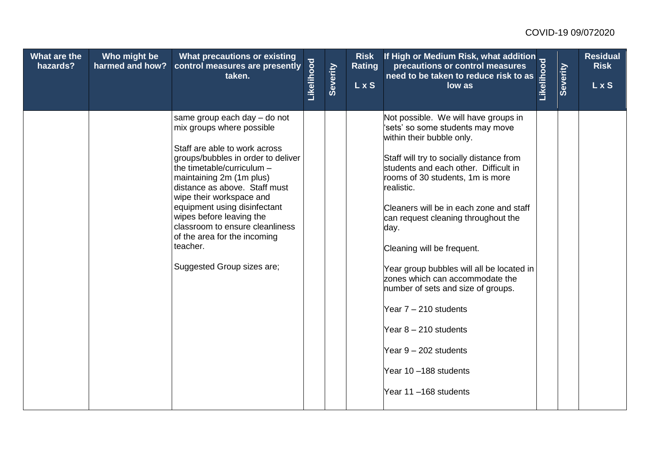| What are the<br>hazards? | Who might be<br>harmed and how? | What precautions or existing<br>control measures are presently<br>taken.                                                                                                                                                                                                                                                                                                                                                         | Likelihood | Severity | <b>Risk</b><br><b>Rating</b><br><b>LxS</b> | If High or Medium Risk, what addition<br>precautions or control measures<br>need to be taken to reduce risk to as<br>low as<br>low as                                                                                                                                                                                                                                                                                                                                                                                                                                                                                     | Severity | <b>Residual</b><br><b>Risk</b><br>L x S |
|--------------------------|---------------------------------|----------------------------------------------------------------------------------------------------------------------------------------------------------------------------------------------------------------------------------------------------------------------------------------------------------------------------------------------------------------------------------------------------------------------------------|------------|----------|--------------------------------------------|---------------------------------------------------------------------------------------------------------------------------------------------------------------------------------------------------------------------------------------------------------------------------------------------------------------------------------------------------------------------------------------------------------------------------------------------------------------------------------------------------------------------------------------------------------------------------------------------------------------------------|----------|-----------------------------------------|
|                          |                                 | same group each day - do not<br>mix groups where possible<br>Staff are able to work across<br>groups/bubbles in order to deliver<br>the timetable/curriculum -<br>maintaining 2m (1m plus)<br>distance as above. Staff must<br>wipe their workspace and<br>equipment using disinfectant<br>wipes before leaving the<br>classroom to ensure cleanliness<br>of the area for the incoming<br>teacher.<br>Suggested Group sizes are; |            |          |                                            | Not possible. We will have groups in<br>'sets' so some students may move<br>within their bubble only.<br>Staff will try to socially distance from<br>students and each other. Difficult in<br>rooms of 30 students, 1m is more<br>realistic.<br>Cleaners will be in each zone and staff<br>can request cleaning throughout the<br>day.<br>Cleaning will be frequent.<br>Year group bubbles will all be located in<br>zones which can accommodate the<br>number of sets and size of groups.<br>Year $7 - 210$ students<br>Year $8 - 210$ students<br>Year 9 - 202 students<br>Year 10-188 students<br>Year 11-168 students |          |                                         |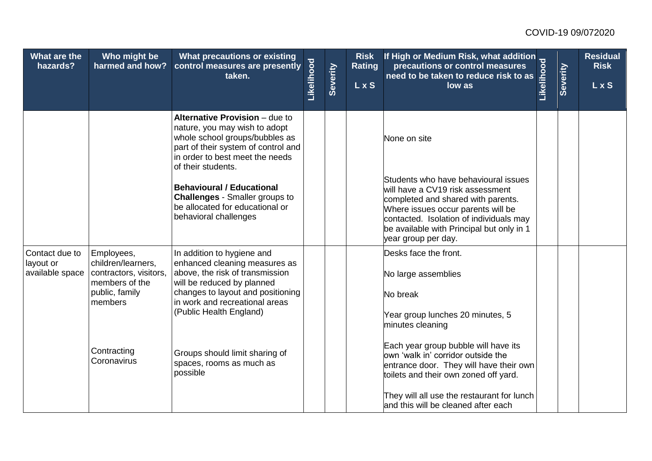| What are the<br>hazards?                       | Who might be<br>harmed and how?                            | What precautions or existing<br>control measures are presently<br>taken.                                                                                                                                                              | Likelihood | Severity | <b>Risk</b><br><b>Rating</b><br>L x S | Thigh or Medium Risk, what addition<br>precautions or control measures<br>taken to reduce risk to as                                                                                    |  | <b>Residual</b><br><b>Risk</b><br>$L$ x S |
|------------------------------------------------|------------------------------------------------------------|---------------------------------------------------------------------------------------------------------------------------------------------------------------------------------------------------------------------------------------|------------|----------|---------------------------------------|-----------------------------------------------------------------------------------------------------------------------------------------------------------------------------------------|--|-------------------------------------------|
|                                                |                                                            | Alternative Provision - due to<br>nature, you may wish to adopt<br>whole school groups/bubbles as<br>part of their system of control and<br>in order to best meet the needs<br>of their students.<br><b>Behavioural / Educational</b> |            |          |                                       | None on site<br>Students who have behavioural issues<br>will have a CV19 risk assessment                                                                                                |  |                                           |
|                                                |                                                            | <b>Challenges - Smaller groups to</b><br>be allocated for educational or<br>behavioral challenges                                                                                                                                     |            |          |                                       | completed and shared with parents.<br>Where issues occur parents will be<br>contacted. Isolation of individuals may<br>be available with Principal but only in 1<br>year group per day. |  |                                           |
| Contact due to<br>layout or<br>available space | Employees,<br>children/learners,<br>contractors, visitors, | In addition to hygiene and<br>enhanced cleaning measures as<br>above, the risk of transmission                                                                                                                                        |            |          |                                       | Desks face the front.<br>No large assemblies                                                                                                                                            |  |                                           |
|                                                | members of the<br>public, family<br>members                | will be reduced by planned<br>changes to layout and positioning<br>in work and recreational areas<br>(Public Health England)                                                                                                          |            |          |                                       | No break<br>Year group lunches 20 minutes, 5                                                                                                                                            |  |                                           |
|                                                | Contracting<br>Coronavirus                                 | Groups should limit sharing of<br>spaces, rooms as much as<br>possible                                                                                                                                                                |            |          |                                       | minutes cleaning<br>Each year group bubble will have its<br>own 'walk in' corridor outside the<br>entrance door. They will have their own<br>toilets and their own zoned off yard.      |  |                                           |
|                                                |                                                            |                                                                                                                                                                                                                                       |            |          |                                       | They will all use the restaurant for lunch<br>and this will be cleaned after each                                                                                                       |  |                                           |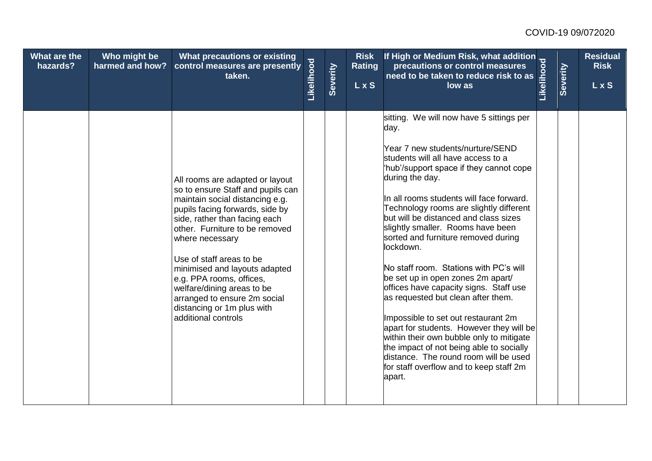| What are the<br>hazards? | Who might be<br>harmed and how? | What precautions or existing<br>control measures are presently<br>taken.                                                                                                                                                                                                                                                                                                                                                                     | Likelihood | Severity | <b>Risk</b><br><b>Rating</b><br><b>LxS</b> | If High or Medium Risk, what addition<br>precautions or control measures<br>need to be taken to reduce risk to as<br>low as<br>low as                                                                                                                                                                                                                                                                                                                                                                                                                                                                                                                                                                                                                                                                                                                     | Severity | <b>Residual</b><br><b>Risk</b><br>L x S |
|--------------------------|---------------------------------|----------------------------------------------------------------------------------------------------------------------------------------------------------------------------------------------------------------------------------------------------------------------------------------------------------------------------------------------------------------------------------------------------------------------------------------------|------------|----------|--------------------------------------------|-----------------------------------------------------------------------------------------------------------------------------------------------------------------------------------------------------------------------------------------------------------------------------------------------------------------------------------------------------------------------------------------------------------------------------------------------------------------------------------------------------------------------------------------------------------------------------------------------------------------------------------------------------------------------------------------------------------------------------------------------------------------------------------------------------------------------------------------------------------|----------|-----------------------------------------|
|                          |                                 | All rooms are adapted or layout<br>so to ensure Staff and pupils can<br>maintain social distancing e.g.<br>pupils facing forwards, side by<br>side, rather than facing each<br>other. Furniture to be removed<br>where necessary<br>Use of staff areas to be<br>minimised and layouts adapted<br>e.g. PPA rooms, offices,<br>welfare/dining areas to be<br>arranged to ensure 2m social<br>distancing or 1m plus with<br>additional controls |            |          |                                            | sitting. We will now have 5 sittings per<br>day.<br>Year 7 new students/nurture/SEND<br>students will all have access to a<br>'hub'/support space if they cannot cope<br>during the day.<br>In all rooms students will face forward.<br>Technology rooms are slightly different<br>but will be distanced and class sizes<br>slightly smaller. Rooms have been<br>sorted and furniture removed during<br>lockdown.<br>No staff room. Stations with PC's will<br>be set up in open zones 2m apart/<br>offices have capacity signs. Staff use<br>as requested but clean after them.<br>Impossible to set out restaurant 2m<br>apart for students. However they will be<br>within their own bubble only to mitigate<br>the impact of not being able to socially<br>distance. The round room will be used<br>for staff overflow and to keep staff 2m<br>apart. |          |                                         |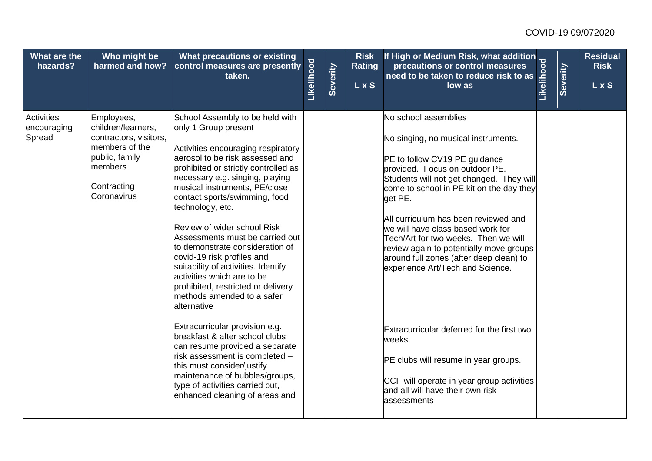| What are the<br>hazards?                   | Who might be<br>harmed and how?                                                                                                         | <b>What precautions or existing</b><br>control measures are presently<br>taken.                                                                                                                                                                                                                                                                                                                                                                                                                                                                                                              | Likelihood | Severity | <b>Risk</b><br><b>Rating</b><br>L x S | Thigh or Medium Risk, what addition<br>precautions or control measures<br>taken to reduce risk to as                                                                                                                                                                                                                                                                                                                                                                             |  | <b>Residual</b><br><b>Risk</b><br>LxS |
|--------------------------------------------|-----------------------------------------------------------------------------------------------------------------------------------------|----------------------------------------------------------------------------------------------------------------------------------------------------------------------------------------------------------------------------------------------------------------------------------------------------------------------------------------------------------------------------------------------------------------------------------------------------------------------------------------------------------------------------------------------------------------------------------------------|------------|----------|---------------------------------------|----------------------------------------------------------------------------------------------------------------------------------------------------------------------------------------------------------------------------------------------------------------------------------------------------------------------------------------------------------------------------------------------------------------------------------------------------------------------------------|--|---------------------------------------|
| <b>Activities</b><br>encouraging<br>Spread | Employees,<br>children/learners,<br>contractors, visitors,<br>members of the<br>public, family<br>members<br>Contracting<br>Coronavirus | School Assembly to be held with<br>only 1 Group present<br>Activities encouraging respiratory<br>aerosol to be risk assessed and<br>prohibited or strictly controlled as<br>necessary e.g. singing, playing<br>musical instruments, PE/close<br>contact sports/swimming, food<br>technology, etc.<br>Review of wider school Risk<br>Assessments must be carried out<br>to demonstrate consideration of<br>covid-19 risk profiles and<br>suitability of activities. Identify<br>activities which are to be<br>prohibited, restricted or delivery<br>methods amended to a safer<br>alternative |            |          |                                       | No school assemblies<br>No singing, no musical instruments.<br>PE to follow CV19 PE guidance<br>provided. Focus on outdoor PE.<br>Students will not get changed. They will<br>come to school in PE kit on the day they<br>get PE.<br>All curriculum has been reviewed and<br>we will have class based work for<br>Tech/Art for two weeks. Then we will<br>review again to potentially move groups<br>around full zones (after deep clean) to<br>experience Art/Tech and Science. |  |                                       |
|                                            |                                                                                                                                         | Extracurricular provision e.g.<br>breakfast & after school clubs<br>can resume provided a separate<br>risk assessment is completed -<br>this must consider/justify<br>maintenance of bubbles/groups,<br>type of activities carried out,<br>enhanced cleaning of areas and                                                                                                                                                                                                                                                                                                                    |            |          |                                       | Extracurricular deferred for the first two<br>weeks.<br>PE clubs will resume in year groups.<br>CCF will operate in year group activities<br>and all will have their own risk<br>assessments                                                                                                                                                                                                                                                                                     |  |                                       |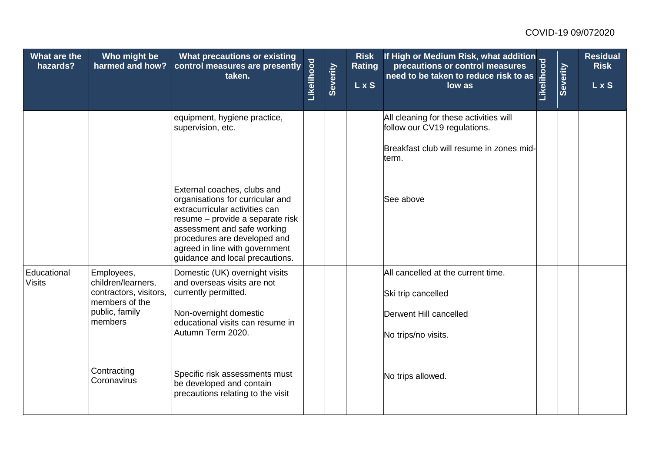| What are the<br>hazards?     | Who might be<br>harmed and how?                                              | What precautions or existing<br>control measures are presently<br>taken.                                                                                                                                                                                                  | Likelihood | Severity | <b>Risk</b><br><b>Rating</b><br>L x S | If High or Medium Risk, what addition<br>precautions or control measures<br>need to be taken to reduce risk to as<br>low as<br>low as | Severity | Residual<br><b>Risk</b><br>L x S |
|------------------------------|------------------------------------------------------------------------------|---------------------------------------------------------------------------------------------------------------------------------------------------------------------------------------------------------------------------------------------------------------------------|------------|----------|---------------------------------------|---------------------------------------------------------------------------------------------------------------------------------------|----------|----------------------------------|
|                              |                                                                              | equipment, hygiene practice,<br>supervision, etc.                                                                                                                                                                                                                         |            |          |                                       | All cleaning for these activities will<br>follow our CV19 regulations.                                                                |          |                                  |
|                              |                                                                              |                                                                                                                                                                                                                                                                           |            |          |                                       | Breakfast club will resume in zones mid-<br>term.                                                                                     |          |                                  |
|                              |                                                                              | External coaches, clubs and<br>organisations for curricular and<br>extracurricular activities can<br>resume - provide a separate risk<br>assessment and safe working<br>procedures are developed and<br>agreed in line with government<br>guidance and local precautions. |            |          |                                       | See above                                                                                                                             |          |                                  |
| Educational<br><b>Visits</b> | Employees,<br>children/learners,<br>contractors, visitors,<br>members of the | Domestic (UK) overnight visits<br>and overseas visits are not<br>currently permitted.                                                                                                                                                                                     |            |          |                                       | All cancelled at the current time.<br>Ski trip cancelled                                                                              |          |                                  |
|                              | public, family<br>members                                                    | Non-overnight domestic<br>educational visits can resume in<br>Autumn Term 2020.                                                                                                                                                                                           |            |          |                                       | Derwent Hill cancelled<br>No trips/no visits.                                                                                         |          |                                  |
|                              | Contracting<br>Coronavirus                                                   | Specific risk assessments must<br>be developed and contain<br>precautions relating to the visit                                                                                                                                                                           |            |          |                                       | No trips allowed.                                                                                                                     |          |                                  |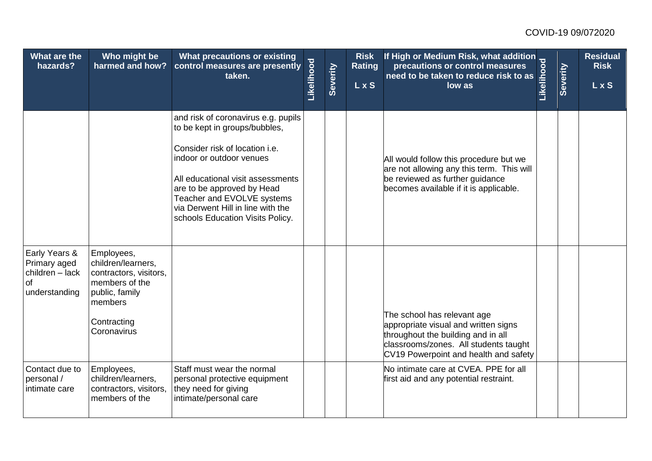| What are the<br>hazards?                                                | Who might be<br>harmed and how?                                                                                                         | What precautions or existing<br>control measures are presently<br>taken.                                                                                                                                                                                                                                     | Likelihood | Severity | <b>Risk</b><br><b>Rating</b><br><b>LxS</b> | Thigh or Medium Risk, what addition<br>precautions or control measures<br>taken to reduce risk to as                                                                                        |  | <b>Residual</b><br><b>Risk</b><br><b>LxS</b> |
|-------------------------------------------------------------------------|-----------------------------------------------------------------------------------------------------------------------------------------|--------------------------------------------------------------------------------------------------------------------------------------------------------------------------------------------------------------------------------------------------------------------------------------------------------------|------------|----------|--------------------------------------------|---------------------------------------------------------------------------------------------------------------------------------------------------------------------------------------------|--|----------------------------------------------|
|                                                                         |                                                                                                                                         | and risk of coronavirus e.g. pupils<br>to be kept in groups/bubbles,<br>Consider risk of location i.e.<br>indoor or outdoor venues<br>All educational visit assessments<br>are to be approved by Head<br>Teacher and EVOLVE systems<br>via Derwent Hill in line with the<br>schools Education Visits Policy. |            |          |                                            | All would follow this procedure but we<br>are not allowing any this term. This will<br>be reviewed as further guidance<br>becomes available if it is applicable.                            |  |                                              |
| Early Years &<br>Primary aged<br>children - lack<br>of<br>understanding | Employees,<br>children/learners,<br>contractors, visitors,<br>members of the<br>public, family<br>members<br>Contracting<br>Coronavirus |                                                                                                                                                                                                                                                                                                              |            |          |                                            | The school has relevant age<br>appropriate visual and written signs<br>throughout the building and in all<br>classrooms/zones. All students taught<br>CV19 Powerpoint and health and safety |  |                                              |
| Contact due to<br>personal /<br>intimate care                           | Employees,<br>children/learners,<br>contractors, visitors,<br>members of the                                                            | Staff must wear the normal<br>personal protective equipment<br>they need for giving<br>intimate/personal care                                                                                                                                                                                                |            |          |                                            | No intimate care at CVEA. PPE for all<br>first aid and any potential restraint.                                                                                                             |  |                                              |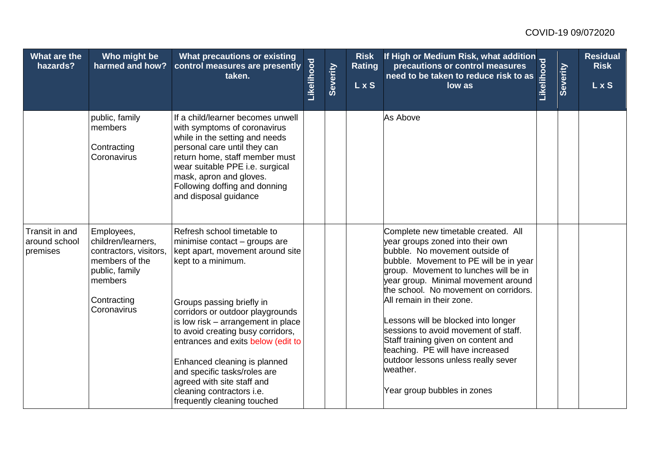| What are the<br>hazards?                    | Who might be<br>harmed and how?                                                                                                         | What precautions or existing<br>control measures are presently<br>taken.                                                                                                                                                                                                                                                                                                                                                                                           | Likelihood | Severity | <b>Risk</b><br><b>Rating</b><br>$\overline{L}$ x S | If High or Medium Risk, what addition<br>precautions or control measures<br>need to be taken to reduce risk to as<br>low as<br>low as                                                                                                                                                                                                                                                                                                                                                                                                                 | Severity | <b>Residual</b><br><b>Risk</b><br>LxS |
|---------------------------------------------|-----------------------------------------------------------------------------------------------------------------------------------------|--------------------------------------------------------------------------------------------------------------------------------------------------------------------------------------------------------------------------------------------------------------------------------------------------------------------------------------------------------------------------------------------------------------------------------------------------------------------|------------|----------|----------------------------------------------------|-------------------------------------------------------------------------------------------------------------------------------------------------------------------------------------------------------------------------------------------------------------------------------------------------------------------------------------------------------------------------------------------------------------------------------------------------------------------------------------------------------------------------------------------------------|----------|---------------------------------------|
|                                             | public, family<br>members<br>Contracting<br>Coronavirus                                                                                 | If a child/learner becomes unwell<br>with symptoms of coronavirus<br>while in the setting and needs<br>personal care until they can<br>return home, staff member must<br>wear suitable PPE i.e. surgical<br>mask, apron and gloves.<br>Following doffing and donning<br>and disposal guidance                                                                                                                                                                      |            |          |                                                    | As Above                                                                                                                                                                                                                                                                                                                                                                                                                                                                                                                                              |          |                                       |
| Transit in and<br>around school<br>premises | Employees,<br>children/learners,<br>contractors, visitors,<br>members of the<br>public, family<br>members<br>Contracting<br>Coronavirus | Refresh school timetable to<br>minimise contact - groups are<br>kept apart, movement around site<br>kept to a minimum.<br>Groups passing briefly in<br>corridors or outdoor playgrounds<br>is low risk - arrangement in place<br>to avoid creating busy corridors,<br>entrances and exits below (edit to<br>Enhanced cleaning is planned<br>and specific tasks/roles are<br>agreed with site staff and<br>cleaning contractors i.e.<br>frequently cleaning touched |            |          |                                                    | Complete new timetable created. All<br>year groups zoned into their own<br>bubble. No movement outside of<br>bubble. Movement to PE will be in year<br>group. Movement to lunches will be in<br>year group. Minimal movement around<br>the school. No movement on corridors.<br>All remain in their zone.<br>Lessons will be blocked into longer<br>sessions to avoid movement of staff.<br>Staff training given on content and<br>teaching. PE will have increased<br>outdoor lessons unless really sever<br>weather.<br>Year group bubbles in zones |          |                                       |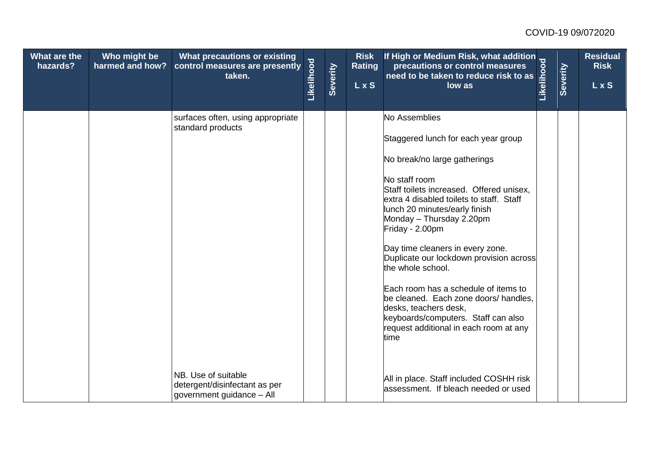| What are the<br>hazards? | Who might be<br>harmed and how? | <b>What precautions or existing</b><br>control measures are presently<br>taken.   | Likelihood | Severity | <b>Risk</b><br><b>Rating</b><br>L x S | Thigh or Medium Risk, what addition<br>precautions or control measures<br>taken to reduce risk to as                                                                                                                                                                                                                                                                                                                                                                                                                                                                                 |  | <b>Residual</b><br><b>Risk</b><br><b>LxS</b> |
|--------------------------|---------------------------------|-----------------------------------------------------------------------------------|------------|----------|---------------------------------------|--------------------------------------------------------------------------------------------------------------------------------------------------------------------------------------------------------------------------------------------------------------------------------------------------------------------------------------------------------------------------------------------------------------------------------------------------------------------------------------------------------------------------------------------------------------------------------------|--|----------------------------------------------|
|                          |                                 | surfaces often, using appropriate<br>standard products                            |            |          |                                       | No Assemblies<br>Staggered lunch for each year group<br>No break/no large gatherings<br>No staff room<br>Staff toilets increased. Offered unisex,<br>extra 4 disabled toilets to staff. Staff<br>lunch 20 minutes/early finish<br>Monday - Thursday 2.20pm<br>Friday - 2.00pm<br>Day time cleaners in every zone.<br>Duplicate our lockdown provision across<br>the whole school.<br>Each room has a schedule of items to<br>be cleaned. Each zone doors/ handles,<br>desks, teachers desk,<br>keyboards/computers. Staff can also<br>request additional in each room at any<br>time |  |                                              |
|                          |                                 | NB. Use of suitable<br>detergent/disinfectant as per<br>government guidance - All |            |          |                                       | All in place. Staff included COSHH risk<br>assessment. If bleach needed or used                                                                                                                                                                                                                                                                                                                                                                                                                                                                                                      |  |                                              |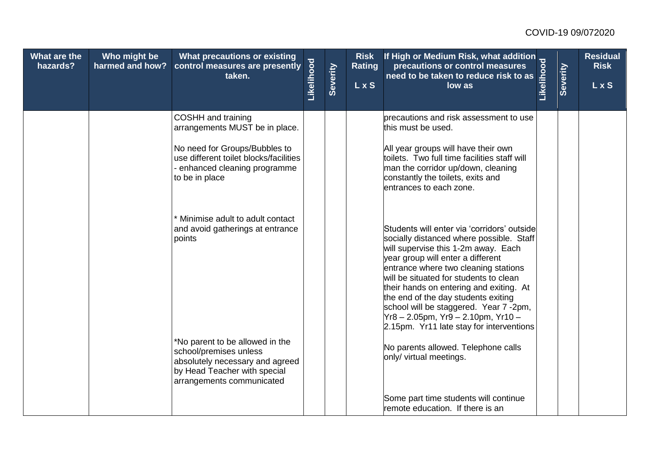| What are the<br>hazards? | Who might be<br>harmed and how? | What precautions or existing<br>control measures are presently<br>taken.                                                                                                                  | Likelihood | Severity | <b>Risk</b><br><b>Rating</b><br><b>LxS</b> | Thigh or Medium Risk, what addition<br>precautions or control measures<br>taken to reduce risk to as                                                                                                                                                                                                                                                                                                                                                                |  | <b>Residual</b><br><b>Risk</b><br>L x S |
|--------------------------|---------------------------------|-------------------------------------------------------------------------------------------------------------------------------------------------------------------------------------------|------------|----------|--------------------------------------------|---------------------------------------------------------------------------------------------------------------------------------------------------------------------------------------------------------------------------------------------------------------------------------------------------------------------------------------------------------------------------------------------------------------------------------------------------------------------|--|-----------------------------------------|
|                          |                                 | <b>COSHH</b> and training<br>arrangements MUST be in place.<br>No need for Groups/Bubbles to<br>use different toilet blocks/facilities<br>- enhanced cleaning programme<br>to be in place |            |          |                                            | precautions and risk assessment to use<br>this must be used.<br>All year groups will have their own<br>toilets. Two full time facilities staff will<br>man the corridor up/down, cleaning<br>constantly the toilets, exits and<br>lentrances to each zone.                                                                                                                                                                                                          |  |                                         |
|                          |                                 | Minimise adult to adult contact<br>and avoid gatherings at entrance<br>points                                                                                                             |            |          |                                            | Students will enter via 'corridors' outside<br>socially distanced where possible. Staff<br>will supervise this 1-2m away. Each<br>year group will enter a different<br>entrance where two cleaning stations<br>will be situated for students to clean<br>their hands on entering and exiting. At<br>the end of the day students exiting<br>school will be staggered. Year 7 -2pm,<br>Yr8 - 2.05pm, Yr9 - 2.10pm, Yr10 -<br>2.15pm. Yr11 late stay for interventions |  |                                         |
|                          |                                 | *No parent to be allowed in the<br>school/premises unless<br>absolutely necessary and agreed<br>by Head Teacher with special<br>arrangements communicated                                 |            |          |                                            | No parents allowed. Telephone calls<br>only/ virtual meetings.<br>Some part time students will continue<br>remote education. If there is an                                                                                                                                                                                                                                                                                                                         |  |                                         |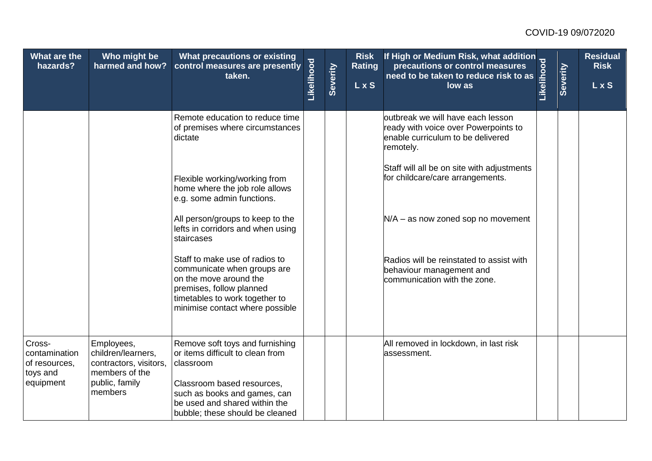| What are the<br>hazards?                                          | Who might be<br>harmed and how?                                                                           | What precautions or existing<br>control measures are presently<br>taken.                                                                                                                                           | Likelihood | Severity | <b>Risk</b><br><b>Rating</b><br><b>LxS</b> | If High or Medium Risk, what addition<br>precautions or control measures<br>need to be taken to reduce risk to as<br>low as<br>low as | Severity | <b>Residual</b><br><b>Risk</b><br>L x S |
|-------------------------------------------------------------------|-----------------------------------------------------------------------------------------------------------|--------------------------------------------------------------------------------------------------------------------------------------------------------------------------------------------------------------------|------------|----------|--------------------------------------------|---------------------------------------------------------------------------------------------------------------------------------------|----------|-----------------------------------------|
|                                                                   |                                                                                                           | Remote education to reduce time<br>of premises where circumstances<br>dictate                                                                                                                                      |            |          |                                            | outbreak we will have each lesson<br>ready with voice over Powerpoints to<br>enable curriculum to be delivered<br>remotely.           |          |                                         |
|                                                                   |                                                                                                           | Flexible working/working from<br>home where the job role allows<br>e.g. some admin functions.                                                                                                                      |            |          |                                            | Staff will all be on site with adjustments<br>for childcare/care arrangements.                                                        |          |                                         |
|                                                                   |                                                                                                           | All person/groups to keep to the<br>lefts in corridors and when using<br>staircases                                                                                                                                |            |          |                                            | $N/A - as now zone down to movement$                                                                                                  |          |                                         |
|                                                                   |                                                                                                           | Staff to make use of radios to<br>communicate when groups are<br>on the move around the<br>premises, follow planned<br>timetables to work together to<br>minimise contact where possible                           |            |          |                                            | Radios will be reinstated to assist with<br>behaviour management and<br>communication with the zone.                                  |          |                                         |
| Cross-<br>contamination<br>of resources,<br>toys and<br>equipment | Employees,<br>children/learners.<br>contractors, visitors,<br>members of the<br>public, family<br>members | Remove soft toys and furnishing<br>or items difficult to clean from<br>classroom<br>Classroom based resources,<br>such as books and games, can<br>be used and shared within the<br>bubble; these should be cleaned |            |          |                                            | All removed in lockdown, in last risk<br>lassessment.                                                                                 |          |                                         |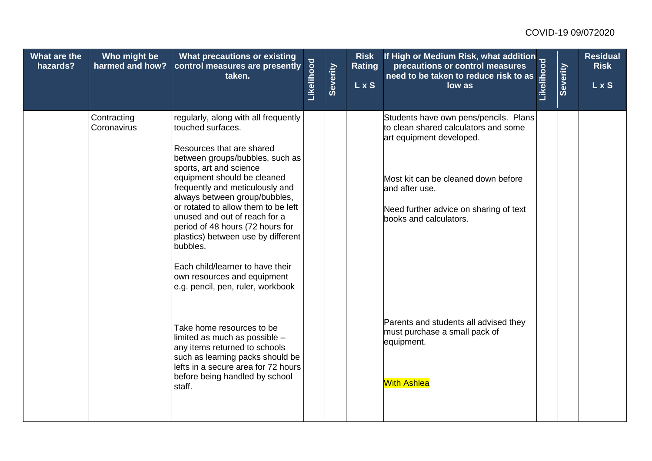| What are the<br>hazards? | Who might be<br>harmed and how? | What precautions or existing<br>control measures are presently<br>taken.                                                                                                                                                                                                                                                                                                                                                                                                                                                      | Likelihood | Severity | <b>Risk</b><br><b>Rating</b><br>$\overline{L}$ x S | If High or Medium Risk, what addition<br>precautions or control measures<br>need to be taken to reduce risk to as<br>low as<br>low as                                                                                                  | Severity | <b>Residual</b><br><b>Risk</b><br>L x S |
|--------------------------|---------------------------------|-------------------------------------------------------------------------------------------------------------------------------------------------------------------------------------------------------------------------------------------------------------------------------------------------------------------------------------------------------------------------------------------------------------------------------------------------------------------------------------------------------------------------------|------------|----------|----------------------------------------------------|----------------------------------------------------------------------------------------------------------------------------------------------------------------------------------------------------------------------------------------|----------|-----------------------------------------|
|                          | Contracting<br>Coronavirus      | regularly, along with all frequently<br>touched surfaces.<br>Resources that are shared<br>between groups/bubbles, such as<br>sports, art and science<br>equipment should be cleaned<br>frequently and meticulously and<br>always between group/bubbles,<br>or rotated to allow them to be left<br>unused and out of reach for a<br>period of 48 hours (72 hours for<br>plastics) between use by different<br>bubbles.<br>Each child/learner to have their<br>own resources and equipment<br>e.g. pencil, pen, ruler, workbook |            |          |                                                    | Students have own pens/pencils. Plans<br>to clean shared calculators and some<br>art equipment developed.<br>Most kit can be cleaned down before<br>and after use.<br>Need further advice on sharing of text<br>books and calculators. |          |                                         |
|                          |                                 | Take home resources to be<br>limited as much as possible -<br>any items returned to schools<br>such as learning packs should be<br>lefts in a secure area for 72 hours<br>before being handled by school<br>staff.                                                                                                                                                                                                                                                                                                            |            |          |                                                    | Parents and students all advised they<br>must purchase a small pack of<br>equipment.<br><b>With Ashlea</b>                                                                                                                             |          |                                         |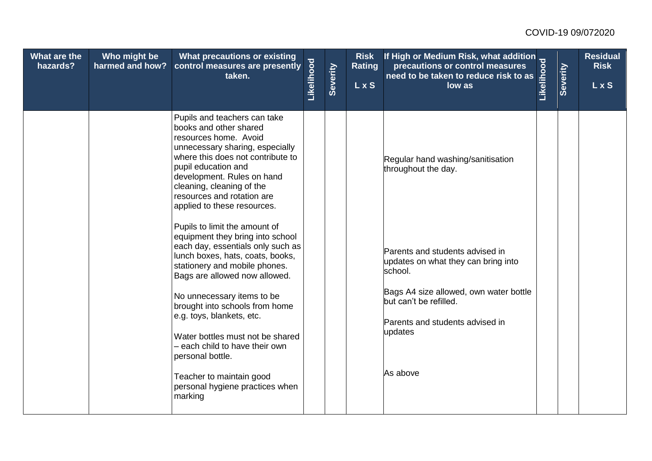| What are the<br>hazards? | Who might be<br>harmed and how? | What precautions or existing<br>control measures are presently<br>taken.                                                                                                                                                                                                                               | Likelihood | Severity | <b>Risk</b><br><b>Rating</b><br>$\overline{L}$ x S | If High or Medium Risk, what addition<br>precautions or control measures<br>need to be taken to reduce risk to as<br>low as<br>low as | Severity | <b>Residual</b><br><b>Risk</b><br>LxS |
|--------------------------|---------------------------------|--------------------------------------------------------------------------------------------------------------------------------------------------------------------------------------------------------------------------------------------------------------------------------------------------------|------------|----------|----------------------------------------------------|---------------------------------------------------------------------------------------------------------------------------------------|----------|---------------------------------------|
|                          |                                 | Pupils and teachers can take<br>books and other shared<br>resources home. Avoid<br>unnecessary sharing, especially<br>where this does not contribute to<br>pupil education and<br>development. Rules on hand<br>cleaning, cleaning of the<br>resources and rotation are<br>applied to these resources. |            |          |                                                    | Regular hand washing/sanitisation<br>throughout the day.                                                                              |          |                                       |
|                          |                                 | Pupils to limit the amount of<br>equipment they bring into school<br>each day, essentials only such as<br>lunch boxes, hats, coats, books,<br>stationery and mobile phones.<br>Bags are allowed now allowed.                                                                                           |            |          |                                                    | Parents and students advised in<br>updates on what they can bring into<br>school.                                                     |          |                                       |
|                          |                                 | No unnecessary items to be<br>brought into schools from home<br>e.g. toys, blankets, etc.<br>Water bottles must not be shared<br>- each child to have their own<br>personal bottle.                                                                                                                    |            |          |                                                    | Bags A4 size allowed, own water bottle<br>but can't be refilled.<br>Parents and students advised in<br>updates<br>As above            |          |                                       |
|                          |                                 | Teacher to maintain good<br>personal hygiene practices when<br>marking                                                                                                                                                                                                                                 |            |          |                                                    |                                                                                                                                       |          |                                       |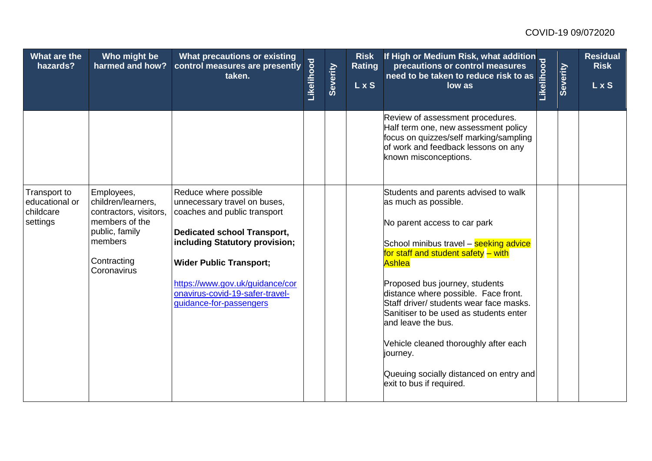| What are the<br>hazards?                                | Who might be<br>harmed and how?                                                                                                         | What precautions or existing<br>control measures are presently<br>taken.                                                                                                                                                                                                                         | Likelihood | Severity | <b>Risk</b><br><b>Rating</b><br><b>LxS</b> | Thigh or Medium Risk, what addition<br>precautions or control measures<br>taken to reduce risk to as                                                                                                                                                                                                                                                                                                                                                                                                     |  | <b>Residual</b><br><b>Risk</b><br>L x S |
|---------------------------------------------------------|-----------------------------------------------------------------------------------------------------------------------------------------|--------------------------------------------------------------------------------------------------------------------------------------------------------------------------------------------------------------------------------------------------------------------------------------------------|------------|----------|--------------------------------------------|----------------------------------------------------------------------------------------------------------------------------------------------------------------------------------------------------------------------------------------------------------------------------------------------------------------------------------------------------------------------------------------------------------------------------------------------------------------------------------------------------------|--|-----------------------------------------|
|                                                         |                                                                                                                                         |                                                                                                                                                                                                                                                                                                  |            |          |                                            | Review of assessment procedures.<br>Half term one, new assessment policy<br>focus on quizzes/self marking/sampling<br>of work and feedback lessons on any<br>known misconceptions.                                                                                                                                                                                                                                                                                                                       |  |                                         |
| Transport to<br>educational or<br>childcare<br>settings | Employees,<br>children/learners,<br>contractors, visitors,<br>members of the<br>public, family<br>members<br>Contracting<br>Coronavirus | Reduce where possible<br>unnecessary travel on buses,<br>coaches and public transport<br><b>Dedicated school Transport,</b><br>including Statutory provision;<br><b>Wider Public Transport;</b><br>https://www.gov.uk/guidance/cor<br>onavirus-covid-19-safer-travel-<br>guidance-for-passengers |            |          |                                            | Students and parents advised to walk<br>as much as possible.<br>No parent access to car park<br>School minibus travel - seeking advice<br>for staff and student safety - with<br>Ashlea<br>Proposed bus journey, students<br>distance where possible. Face front.<br>Staff driver/ students wear face masks.<br>Sanitiser to be used as students enter<br>and leave the bus.<br>Vehicle cleaned thoroughly after each<br>journey.<br>Queuing socially distanced on entry and<br>exit to bus if required. |  |                                         |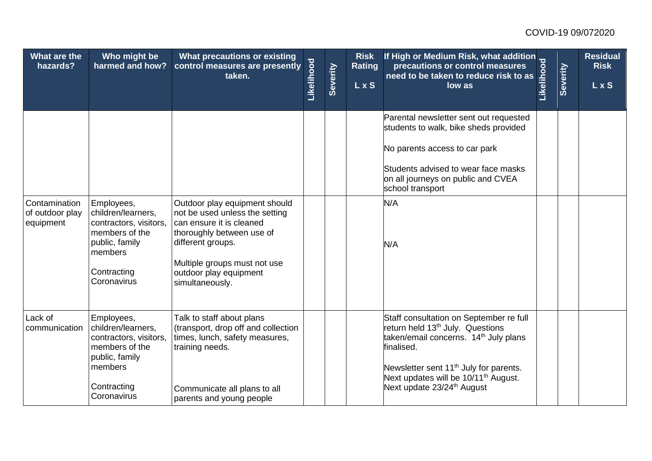| What are the<br>hazards?                      | Who might be<br>harmed and how?                                                                                                         | What precautions or existing<br>control measures are presently<br>taken.                                                                                                                                                   | Likelihood | Severity | <b>Risk</b><br><b>Rating</b><br><b>LxS</b> | If High or Medium Risk, what addition<br>precautions or control measures<br>need to be taken to reduce risk to as<br>low as<br>low as                                                                                                                                                                          | Severity | <b>Residual</b><br><b>Risk</b><br>$L$ x S |
|-----------------------------------------------|-----------------------------------------------------------------------------------------------------------------------------------------|----------------------------------------------------------------------------------------------------------------------------------------------------------------------------------------------------------------------------|------------|----------|--------------------------------------------|----------------------------------------------------------------------------------------------------------------------------------------------------------------------------------------------------------------------------------------------------------------------------------------------------------------|----------|-------------------------------------------|
|                                               |                                                                                                                                         |                                                                                                                                                                                                                            |            |          |                                            | Parental newsletter sent out requested<br>students to walk, bike sheds provided<br>No parents access to car park<br>Students advised to wear face masks<br>on all journeys on public and CVEA<br>school transport                                                                                              |          |                                           |
| Contamination<br>of outdoor play<br>equipment | Employees,<br>children/learners,<br>contractors, visitors,<br>members of the<br>public, family<br>members<br>Contracting<br>Coronavirus | Outdoor play equipment should<br>not be used unless the setting<br>can ensure it is cleaned<br>thoroughly between use of<br>different groups.<br>Multiple groups must not use<br>outdoor play equipment<br>simultaneously. |            |          |                                            | N/A<br>N/A                                                                                                                                                                                                                                                                                                     |          |                                           |
| Lack of<br>communication                      | Employees,<br>children/learners,<br>contractors, visitors,<br>members of the<br>public, family<br>members<br>Contracting<br>Coronavirus | Talk to staff about plans<br>(transport, drop off and collection<br>times, lunch, safety measures,<br>training needs.<br>Communicate all plans to all<br>parents and young people                                          |            |          |                                            | Staff consultation on September re full<br>return held 13 <sup>th</sup> July. Questions<br>taken/email concerns. 14 <sup>th</sup> July plans<br>finalised.<br>Newsletter sent 11 <sup>th</sup> July for parents.<br>Next updates will be 10/11 <sup>th</sup> August.<br>Next update 23/24 <sup>th</sup> August |          |                                           |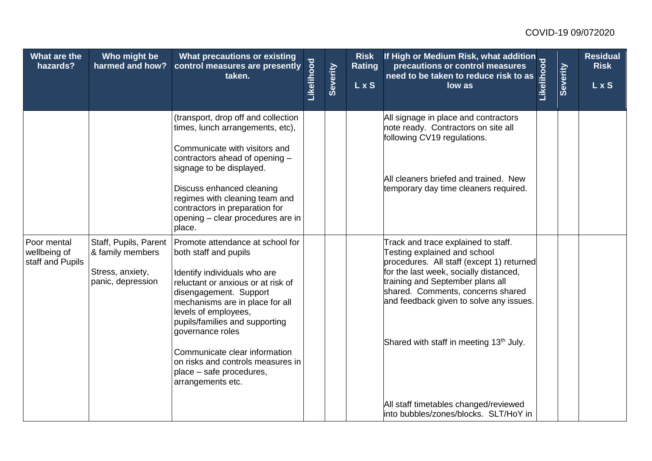| What are the<br>hazards?                        | Who might be<br>harmed and how?                                                    | What precautions or existing<br>control measures are presently<br>taken.                                                                                                                                                                                                                                                                                                                          | Likelihood | Severity | <b>Risk</b><br><b>Rating</b><br>L x S | If High or Medium Risk, what addition<br>precautions or control measures<br>need to be taken to reduce risk to as<br>low as<br>low as                                                                                                                                                                                                                                                                                   | Severity | <b>Residual</b><br><b>Risk</b><br>L x S |
|-------------------------------------------------|------------------------------------------------------------------------------------|---------------------------------------------------------------------------------------------------------------------------------------------------------------------------------------------------------------------------------------------------------------------------------------------------------------------------------------------------------------------------------------------------|------------|----------|---------------------------------------|-------------------------------------------------------------------------------------------------------------------------------------------------------------------------------------------------------------------------------------------------------------------------------------------------------------------------------------------------------------------------------------------------------------------------|----------|-----------------------------------------|
|                                                 |                                                                                    | (transport, drop off and collection<br>times, lunch arrangements, etc),<br>Communicate with visitors and<br>contractors ahead of opening -<br>signage to be displayed.<br>Discuss enhanced cleaning<br>regimes with cleaning team and<br>contractors in preparation for<br>opening – clear procedures are in<br>place.                                                                            |            |          |                                       | All signage in place and contractors<br>note ready. Contractors on site all<br>following CV19 regulations.<br>All cleaners briefed and trained. New<br>temporary day time cleaners required.                                                                                                                                                                                                                            |          |                                         |
| Poor mental<br>wellbeing of<br>staff and Pupils | Staff, Pupils, Parent<br>& family members<br>Stress, anxiety,<br>panic, depression | Promote attendance at school for<br>both staff and pupils<br>Identify individuals who are<br>reluctant or anxious or at risk of<br>disengagement. Support<br>mechanisms are in place for all<br>levels of employees,<br>pupils/families and supporting<br>governance roles<br>Communicate clear information<br>on risks and controls measures in<br>place – safe procedures,<br>arrangements etc. |            |          |                                       | Track and trace explained to staff.<br>Testing explained and school<br>procedures. All staff (except 1) returned<br>for the last week, socially distanced,<br>training and September plans all<br>shared. Comments, concerns shared<br>and feedback given to solve any issues.<br>Shared with staff in meeting 13 <sup>th</sup> July.<br>All staff timetables changed/reviewed<br>into bubbles/zones/blocks. SLT/HoY in |          |                                         |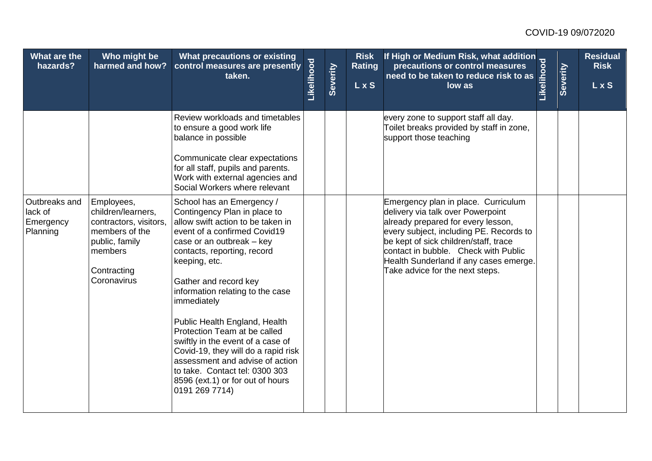| What are the<br>hazards?                          | Who might be<br>harmed and how?                                                                                                         | What precautions or existing<br>control measures are presently<br>taken.                                                                                                                                                                                                                                                                                                                                                                                                                                                                                        | Likelihood | Severity | <b>Risk</b><br><b>Rating</b><br>L x S | If High or Medium Risk, what addition<br>precautions or control measures<br>need to be taken to reduce risk to as<br>low as<br>low as                                                                                                                                                                                   | <b>Severity</b> | <b>Residual</b><br><b>Risk</b><br>L x S |
|---------------------------------------------------|-----------------------------------------------------------------------------------------------------------------------------------------|-----------------------------------------------------------------------------------------------------------------------------------------------------------------------------------------------------------------------------------------------------------------------------------------------------------------------------------------------------------------------------------------------------------------------------------------------------------------------------------------------------------------------------------------------------------------|------------|----------|---------------------------------------|-------------------------------------------------------------------------------------------------------------------------------------------------------------------------------------------------------------------------------------------------------------------------------------------------------------------------|-----------------|-----------------------------------------|
|                                                   |                                                                                                                                         | Review workloads and timetables<br>to ensure a good work life<br>balance in possible<br>Communicate clear expectations<br>for all staff, pupils and parents.<br>Work with external agencies and<br>Social Workers where relevant                                                                                                                                                                                                                                                                                                                                |            |          |                                       | every zone to support staff all day.<br>Toilet breaks provided by staff in zone,<br>support those teaching                                                                                                                                                                                                              |                 |                                         |
| Outbreaks and<br>lack of<br>Emergency<br>Planning | Employees,<br>children/learners,<br>contractors, visitors,<br>members of the<br>public, family<br>members<br>Contracting<br>Coronavirus | School has an Emergency /<br>Contingency Plan in place to<br>allow swift action to be taken in<br>event of a confirmed Covid19<br>case or an outbreak – key<br>contacts, reporting, record<br>keeping, etc.<br>Gather and record key<br>information relating to the case<br>immediately<br>Public Health England, Health<br>Protection Team at be called<br>swiftly in the event of a case of<br>Covid-19, they will do a rapid risk<br>assessment and advise of action<br>to take. Contact tel: 0300 303<br>8596 (ext.1) or for out of hours<br>0191 269 7714) |            |          |                                       | Emergency plan in place. Curriculum<br>delivery via talk over Powerpoint<br>already prepared for every lesson,<br>every subject, including PE. Records to<br>be kept of sick children/staff, trace<br>contact in bubble. Check with Public<br>Health Sunderland if any cases emerge.<br>Take advice for the next steps. |                 |                                         |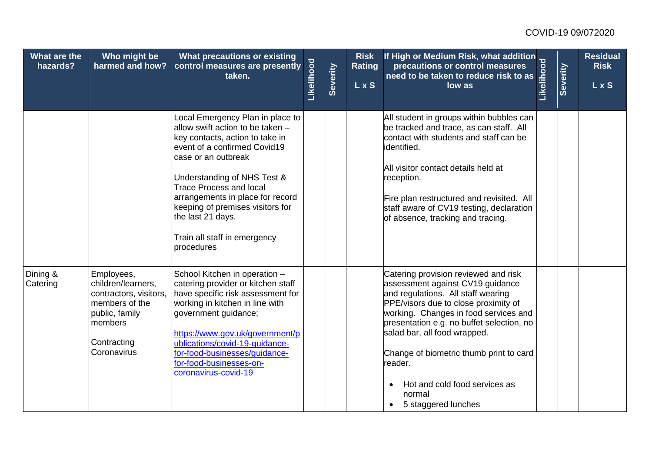| What are the<br>hazards? | Who might be<br>harmed and how?                                                                                                         | What precautions or existing<br>control measures are presently<br>taken.                                                                                                                                                                                                                                                                                                   | Likelihood | Severity | <b>Risk</b><br><b>Rating</b><br>LxS | If High or Medium Risk, what addition<br>precautions or control measures<br>need to be taken to reduce risk to as<br>low as<br>low as                                                                                                                                                                                                                                                                                          | <b>Severity</b> | <b>Residual</b><br><b>Risk</b><br>L x S |
|--------------------------|-----------------------------------------------------------------------------------------------------------------------------------------|----------------------------------------------------------------------------------------------------------------------------------------------------------------------------------------------------------------------------------------------------------------------------------------------------------------------------------------------------------------------------|------------|----------|-------------------------------------|--------------------------------------------------------------------------------------------------------------------------------------------------------------------------------------------------------------------------------------------------------------------------------------------------------------------------------------------------------------------------------------------------------------------------------|-----------------|-----------------------------------------|
|                          |                                                                                                                                         | Local Emergency Plan in place to<br>allow swift action to be taken -<br>key contacts, action to take in<br>event of a confirmed Covid19<br>case or an outbreak<br>Understanding of NHS Test &<br><b>Trace Process and local</b><br>arrangements in place for record<br>keeping of premises visitors for<br>the last 21 days.<br>Train all staff in emergency<br>procedures |            |          |                                     | All student in groups within bubbles can<br>be tracked and trace, as can staff. All<br>contact with students and staff can be<br>lidentified.<br>All visitor contact details held at<br>reception.<br>Fire plan restructured and revisited. All<br>staff aware of CV19 testing, declaration<br>of absence, tracking and tracing.                                                                                               |                 |                                         |
| Dining &<br>Catering     | Employees,<br>children/learners,<br>contractors, visitors,<br>members of the<br>public, family<br>members<br>Contracting<br>Coronavirus | School Kitchen in operation -<br>catering provider or kitchen staff<br>have specific risk assessment for<br>working in kitchen in line with<br>government guidance;<br>https://www.gov.uk/government/p<br>ublications/covid-19-quidance-<br>for-food-businesses/guidance-<br>for-food-businesses-on-<br>coronavirus-covid-19                                               |            |          |                                     | Catering provision reviewed and risk<br>assessment against CV19 guidance<br>and regulations. All staff wearing<br>PPE/visors due to close proximity of<br>working. Changes in food services and<br>presentation e.g. no buffet selection, no<br>salad bar, all food wrapped.<br>Change of biometric thumb print to card<br>reader.<br>Hot and cold food services as<br>$\bullet$<br>normal<br>5 staggered lunches<br>$\bullet$ |                 |                                         |